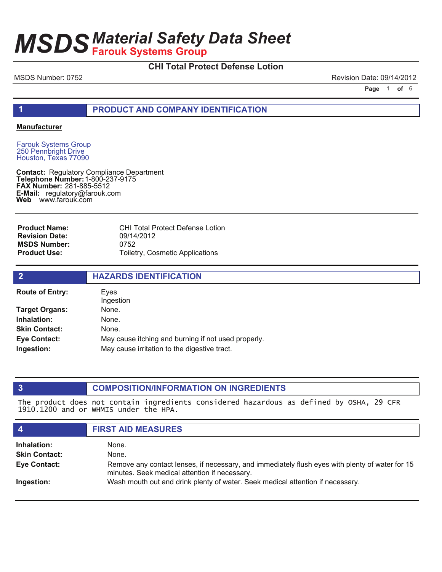# **CHI Total Protect Defense Lotion**

MSDS Number: 0752 **Revision Date: 09/14/2012** Revision Date: 09/14/2012

**Page 1 of 6** 

**1 PRODUCT AND COMPANY IDENTIFICATION**

#### **Manufacturer**

Farouk Systems Group 250 Pennbright Drive Houston, Texas 77090

**Contact: Telephone Number: FAX Number:** 281-885-5512 **E-Mail:** regulatory@farouk.com **Web** www.farouk.com Regulatory Compliance Department 1-800-237-9175

**Product Name: Revision Date: MSDS Number: Product Use:**

CHI Total Protect Defense Lotion 09/14/2012 0752 Toiletry, Cosmetic Applications

| $\overline{2}$         | <b>HAZARDS IDENTIFICATION</b>                       |  |
|------------------------|-----------------------------------------------------|--|
| <b>Route of Entry:</b> | Eves<br>Ingestion                                   |  |
| <b>Target Organs:</b>  | None.                                               |  |
| Inhalation:            | None.                                               |  |
| <b>Skin Contact:</b>   | None.                                               |  |
| <b>Eye Contact:</b>    | May cause itching and burning if not used properly. |  |
| Ingestion:             | May cause irritation to the digestive tract.        |  |
|                        |                                                     |  |

#### **3 COMPOSITION/INFORMATION ON INGREDIENTS**

The product does not contain ingredients considered hazardous as defined by OSHA, 29 CFR 1910.1200 and or WHMIS under the HPA.

| $\boldsymbol{4}$     | <b>FIRST AID MEASURES</b>                                                                                                                        |
|----------------------|--------------------------------------------------------------------------------------------------------------------------------------------------|
| Inhalation:          | None.                                                                                                                                            |
| <b>Skin Contact:</b> | None.                                                                                                                                            |
| <b>Eye Contact:</b>  | Remove any contact lenses, if necessary, and immediately flush eyes with plenty of water for 15<br>minutes. Seek medical attention if necessary. |
| Ingestion:           | Wash mouth out and drink plenty of water. Seek medical attention if necessary.                                                                   |
|                      |                                                                                                                                                  |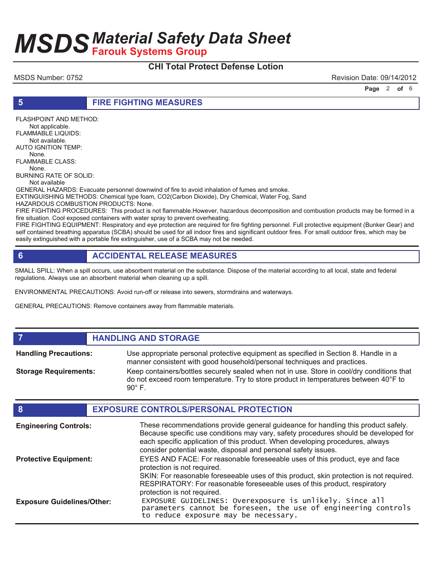### **CHI Total Protect Defense Lotion**

MSDS Number: 0752 Revision Date: 09/14/2012

**Page 2 of 6** 

**5 FIRE FIGHTING MEASURES**

FLASHPOINT AND METHOD: Not applicable. FLAMMABLE LIQUIDS: Not available. AUTO IGNITION TEMP: None. FLAMMABLE CLASS:

None.

BURNING RATE OF SOLID: Not available

GENERAL HAZARDS: Evacuate personnel downwind of fire to avoid inhalation of fumes and smoke.

EXTINGUISHING METHODS: Chemical type foam, CO2(Carbon Dioxide), Dry Chemical, Water Fog, Sand

HAZARDOUS COMBUSTION PRODUCTS: None.

FIRE FIGHTING PROCEDURES: This product is not flammable.However, hazardous decomposition and combustion products may be formed in a fire situation. Cool exposed containers with water spray to prevent overheating.

FIRE FIGHTING EQUIPMENT: Respiratory and eye protection are required for fire fighting personnel. Full protective equipment (Bunker Gear) and self contained breathing apparatus (SCBA) should be used for all indoor fires and significant outdoor fires. For small outdoor fires, which may be easily extinguished with a portable fire extinguisher, use of a SCBA may not be needed.

# **6 ACCIDENTAL RELEASE MEASURES**

SMALL SPILL: When a spill occurs, use absorbent material on the substance. Dispose of the material according to all local, state and federal regulations. Always use an absorbent material when cleaning up a spill.

ENVIRONMENTAL PRECAUTIONS: Avoid run-off or release into sewers, stormdrains and waterways.

GENERAL PRECAUTIONS: Remove containers away from flammable materials.

*HANDLING AND STORAGE* 

Use appropriate personal protective equipment as specified in Section 8. Handle in a manner consistent with good household/personal techniques and practices. **Handling Precautions:** Keep containers/bottles securely sealed when not in use. Store in cool/dry conditions that do not exceed room temperature. Try to store product in temperatures between 40°F to  $90^\circ$  F. **Storage Requirements:**

#### **8 EXPOSURE CONTROLS/PERSONAL PROTECTION** These recommendations provide general guideance for handling this product safely. Because specific use conditions may vary, safety procedures should be developed for each specific application of this product. When developing procedures, always consider potential waste, disposal and personal safety issues. **Engineering Controls:** EYES AND FACE: For reasonable foreseeable uses of this product, eye and face protection is not required. SKIN: For reasonable foreseeable uses of this product, skin protection is not required. RESPIRATORY: For reasonable foreseeable uses of this product, respiratory protection is not required. **Protective Equipment:** EXPOSURE GUIDELINES: Overexposure is unlikely. Since all parameters cannot be foreseen, the use of engineering controls to reduce exposure may be necessary. **Exposure Guidelines/Other:**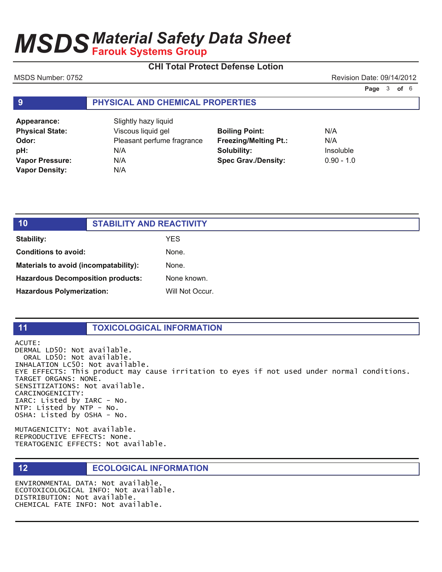# **CHI Total Protect Defense Lotion**

### MSDS Number: 0752 **Revision Date: 09/14/2012** Revision Date: 09/14/2012

**Page 3 of 6** 

### **9 PHYSICAL AND CHEMICAL PROPERTIES**

| Appearance:            | Slightly hazy liquid                        |                              |              |
|------------------------|---------------------------------------------|------------------------------|--------------|
| <b>Physical State:</b> | Viscous liquid gel<br><b>Boiling Point:</b> |                              | N/A          |
| Odor:                  | Pleasant perfume fragrance                  | <b>Freezing/Melting Pt.:</b> | N/A          |
| pH:                    | N/A                                         | Solubility:                  | Insoluble    |
| Vapor Pressure:        | N/A                                         | <b>Spec Grav./Density:</b>   | $0.90 - 1.0$ |
| <b>Vapor Density:</b>  | N/A                                         |                              |              |

| 10                                       | <b>STABILITY AND REACTIVITY</b> |                 |
|------------------------------------------|---------------------------------|-----------------|
| Stability:                               |                                 | YES.            |
| <b>Conditions to avoid:</b>              |                                 | None.           |
| Materials to avoid (incompatability):    |                                 | None.           |
| <b>Hazardous Decomposition products:</b> |                                 | None known.     |
| <b>Hazardous Polymerization:</b>         |                                 | Will Not Occur. |

### **11 TOXICOLOGICAL INFORMATION**

ACUTE: DERMAL LD50: Not available. ORAL LD50: Not available. INHALATION LC50: Not available. EYE EFFECTS: This product may cause irritation to eyes if not used under normal conditions. TARGET ORGANS: NONE. SENSITIZATIONS: Not available. CARCINOGENICITY: IARC: Listed by IARC - No.  $NTP:$  Listed by  $NTP - NO$ . OSHA: Listed by OSHA - No.

MUTAGENICITY: Not available. REPRODUCTIVE EFFECTS: None. TERATOGENIC EFFECTS: Not available.

### **12 ECOLOGICAL INFORMATION**

ENVIRONMENTAL DATA: Not available. ECOTOXICOLOGICAL INFO: Not available. DISTRIBUTION: Not available. CHEMICAL FATE INFO: Not available.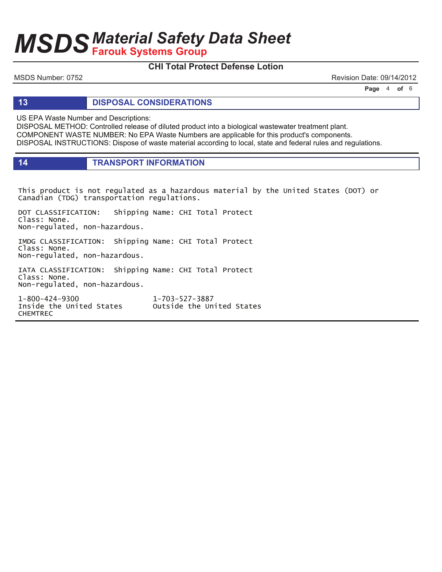# **CHI Total Protect Defense Lotion**

MSDS Number: 0752 **Revision Date: 09/14/2012** Revision Date: 09/14/2012

**Page 4 of 6** 

**13 DISPOSAL CONSIDERATIONS**

US EPA Waste Number and Descriptions:

DISPOSAL METHOD: Controlled release of diluted product into a biological wastewater treatment plant. COMPONENT WASTE NUMBER: No EPA Waste Numbers are applicable for this product's components. DISPOSAL INSTRUCTIONS: Dispose of waste material according to local, state and federal rules and regulations.

**14 TRANSPORT INFORMATION**

This product is not regulated as a hazardous material by the United States (DOT) or Canadian (TDG) transportation regulations.

DOT CLASSIFICATION: Shipping Name: CHI Total Protect Class: None. Non-regulated, non-hazardous.

IMDG CLASSIFICATION: Shipping Name: CHI Total Protect Class: None. Non-regulated, non-hazardous.

IATA CLASSIFICATION: Shipping Name: CHI Total Protect Class: None. Non-regulated, non-hazardous.

1-800-424-9300 1 1-703-527-3887 Inside the United States outside the United States **CHEMTREC**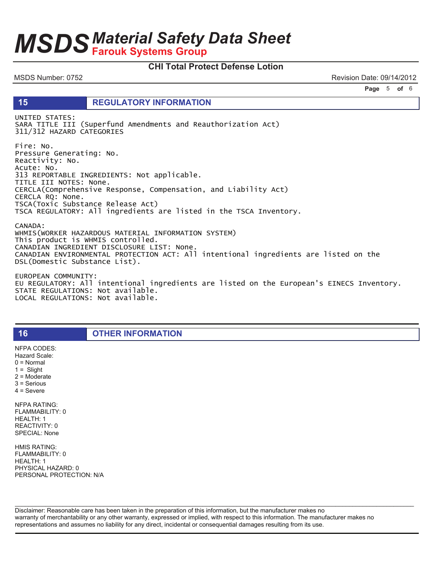# **MSDS Material Safety Data Sheet**

### **CHI Total Protect Defense Lotion**

MSDS Number: 0752

Revision Date: 09/14/2012

Page 5 of 6

15

**REGULATORY INFORMATION** 

UNITED STATES: SARA TITLE III (Superfund Amendments and Reauthorization Act) 311/312 HAZARD CATEGORIES Fire: No. Pressure Generating: No. Reactivity: No. Acute: No. 313 REPORTABLE INGREDIENTS: Not applicable. TITLE III NOTES: None. CERCLA(Comprehensive Response, Compensation, and Liability Act) CERCLA RQ: None. TSCA(Toxic Substance Release Act) TSCA REGULATORY: All ingredients are listed in the TSCA Inventory. CANADA: WHMIS(WORKER HAZARDOUS MATERIAL INFORMATION SYSTEM) This product is WHMIS controlled.

CANADIAN INGREDIENT DISCLOSURE LIST: None. CANADIAN ENVIRONMENTAL PROTECTION ACT: All intentional ingredients are listed on the DSL(Domestic Substance List).

EUROPEAN COMMUNITY: EU REGULATORY: All intentional ingredients are listed on the European's EINECS Inventory. STATE REGULATIONS: Not available. LOCAL REGULATIONS: Not available.

**OTHER INFORMATION** 

**NFPA CODES:** Hazard Scale:

16

 $0 = Normal$ 

 $1 =$  Slight

 $2 =$  Moderate  $3 =$  Serious

 $4 =$  Severe

**NFPA RATING:** FLAMMABILITY: 0 **HEALTH: 1** REACTIVITY: 0 SPECIAL: None

HMIS RATING: FLAMMABILITY: 0 **HEALTH: 1** PHYSICAL HAZARD: 0 PERSONAL PROTECTION: N/A

Disclaimer: Reasonable care has been taken in the preparation of this information, but the manufacturer makes no warranty of merchantability or any other warranty, expressed or implied, with respect to this information. The manufacturer makes no representations and assumes no liability for any direct, incidental or consequential damages resulting from its use.